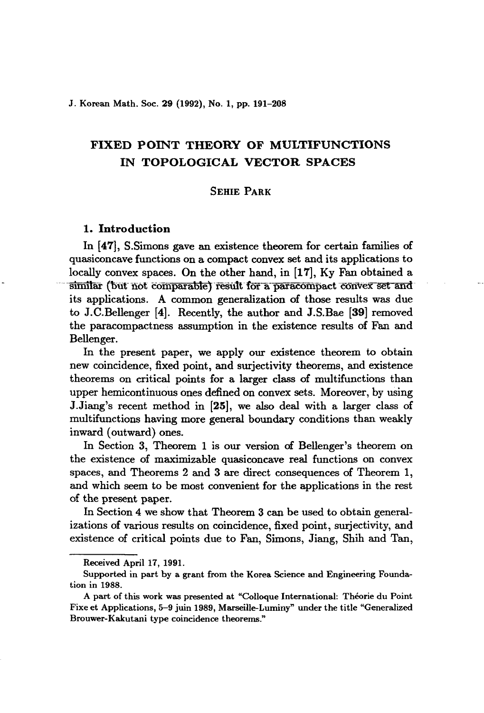J. Korean Math. Soc. 29 (1992), No. 1, pp. 191-208

# FIXED POINT THEORY OF MULTIFUNCTIONS IN TOPOLOGICAL VECTOR SPACES

# SEHIE PARK

# 1. Introduction

In [47], S.Simons gave an existence theorem for certain families of quasiconcave functions on a compact convex set and its applications to locally convex spaces. On the other hand, in [17], Ky Fan obtained a similar (but not comparable) result for a paracompact convex set and its applications. A common generalization of those results was due to J.C.Bellenger [4]. Recently, the author and J.S.Bae [39] removed the paracompactness assumption in the existence results of Fan and Bellenger.

In the present paper, we apply our existence theorem to obtain new coincidence, fixed point, and surjectivity theorems, and existence theorems on critical points for a larger class of multifunctions than upper hemicontinuous ones defined on convex sets. Moreover, by using J.Jiang's recent method in [25], we also deal with a larger class of multifunctions having more general boundary conditions than weakly inward (outward) ones.

In Section 3, Theorem 1 is our version of Bellenger's theorem on the existence of maximizable quasiconcave real functions on convex spaces, and Theorems 2 and 3 are direct consequences of Theorem 1, and which seem to be most convenient for the applications in the rest of the present paper.

In Section 4 we show that Theorem 3 can be used to obtain generalizations of various results on coincidence, fixed point, surjectivity, and existence of critical points due to Fan, Simons, Jiang, Shih and Tan,

Received April 17, 1991.

Supported in part by a grant from the Korea Science and Engineering Foundation in 1988.

A part of this work was presented at "Colloque International: Theorie du Point Fixe et Applications, 5-9 juin 1989, Marseille-Luminy" under the title "Generalized Brouwer-Kakutani type coincidence theorems."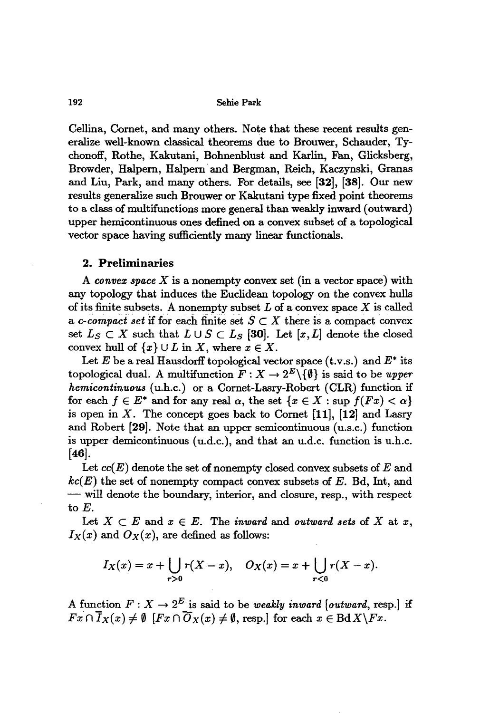Cellina, Comet, and many others. Note that these recent results generalize well-known classical theorems due to Brouwer, Schauder, Tychonoff, Rothe, Kakutani, Bohnenblust and Karlin, Fan, Glicksberg, Browder, Halpem, Halpem· and Bergman, Reich, Kaczynski, Granas and Liu, Park, and many others. For details, see [32], [38]. Our new results generalize such Brouwer or Kakutani type fixed point theorems to a class of multifunctions more general than weakly inward (outward) upper hemicontinuous ones defined on a convex subset of a topological vector space having sufficiently many linear functionals.

### 2. Preliminaries

A *convex space X* is a nonempty convex set (in a vector space) with any topology that induces the Euclidean topology on the convex hulls of its finite subsets. A nonempty subset *L* of a convex space *X* is called a *c*-compact set if for each finite set  $S \subset X$  there is a compact convex set  $L_S \subset X$  such that  $L \cup S \subset L_S$  [30]. Let  $[x, L]$  denote the closed convex hull of  $\{x\} \cup L$  in X, where  $x \in X$ .

Let  $E$  be a real Hausdorff topological vector space  $(t.v.s.)$  and  $E^*$  its topological dual. A multifunction  $F: X \to 2^E \setminus \{\emptyset\}$  is said to be *upper hemicontinuous* (u.h.c.) or a Comet-Lasry-Robert (CLR) function if for each  $f \in E^*$  and for any real  $\alpha$ , the set  $\{x \in X : \sup f(Fx) < \alpha\}$ is open in  $X$ . The concept goes back to Cornet [11], [12] and Lasry and Robert [29]. Note that an upper semicontinuous (u.s.c.) function is upper demicontinuous (u.d.c.), and that an u.d.c. function is u.h.c. [46].

Let *cc(E)* denote the set of nonempty closed convex subsets of *E* and *kc(E)* the set of nonempty compact convex subsets of *E.* Bd, Int, and - will denote the boundary, interior, and closure, resp., with respect to E.

Let  $X \subset E$  and  $x \in E$ . The *inward* and *outward* sets of X at x,  $I_X(x)$  and  $O_X(x)$ , are defined as follows:

$$
I_X(x) = x + \bigcup_{r>0} r(X - x), \quad O_X(x) = x + \bigcup_{r<0} r(X - x).
$$

A function  $F: X \to 2^E$  is said to be *weakly inward* [*outward,* resp.] if  $Fx \cap \overline{I}_X(x) \neq \emptyset$  [ $Fx \cap \overline{O}_X(x) \neq \emptyset$ , resp.] for each  $x \in \text{Bd}X\backslash Fx$ .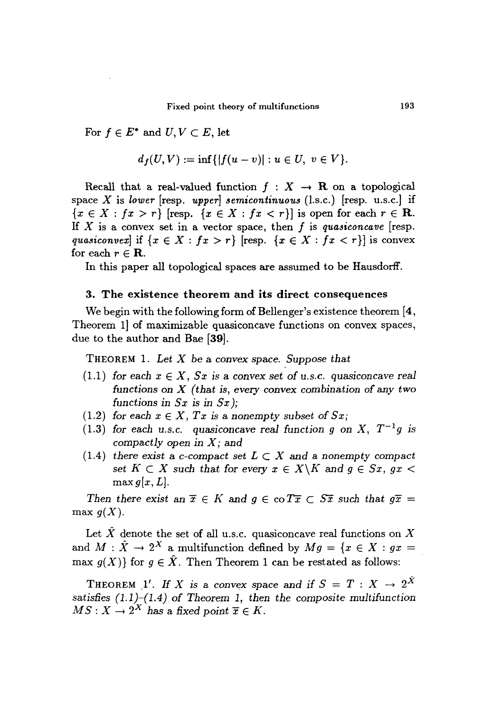For  $f \in E^*$  and  $U, V \subset E$ , let

$$
d_f(U, V) := \inf\{|f(u - v)| : u \in U, v \in V\}.
$$

Recall that a real-valued function  $f : X \to \mathbf{R}$  on a topological space X is *lower* [resp. *upper] semicontinuous* (l.s.c.) [resp. u.s.c.J if  ${x \in X : f x > r}$  [resp.  ${x \in X : f x < r}$ ] is open for each  $r \in \mathbb{R}$ . If X is a convex set in a vector space, then *I* is *quasiconcave* [resp. *quasiconvex*] if  $\{x \in X : fx > r\}$  [resp.  $\{x \in X : fx < r\}$ ] is convex for each  $r \in \mathbf{R}$ .

In this paper all topological spaces are assumed to be Hausdorff.

## 3. The existence theorem and its direct consequences

We begin with the following form of Bellenger's existence theorem [4, Theorem 1 of maximizable quasiconcave functions on convex spaces, due to the author and Bae [39].

THEOREM 1. *Let* X *be* a *convex space. Suppose that*

- (1.1) for each  $x \in X$ ,  $Sx$  is a convex set of *u.s.c.* quasiconcave real *functions on* X *(that is, every convex combination* of any *two functions* in *Sx* is in *Sx);*
- (1.2) *for each*  $x \in X$ *,*  $Tx$  *is* a *nonempty subset* of  $Sx$ ;
- *(1.3) for* each *u.s.c. quasiconcave real function 9 on* X, *T-lg* is *compactly open in* X; and
- (1.4) *there exist* a *c*-compact set  $L \subset X$  and a nonempty compact *set*  $K \subset X$  *such that for every*  $x \in X \backslash K$  *and*  $g \in Sx$ *, gx* <  $max g[x, L]$ .

*Then there exist* an  $\overline{x} \in K$  and  $g \in \text{co } T\overline{x} \subset S\overline{x}$  *such that*  $g\overline{x} =$ max  $g(X)$ .

Let  $\hat{X}$  denote the set of all u.s.c. quasiconcave real functions on X and  $M : \hat{X} \to 2^X$  a multifunction defined by  $Mq = \{x \in X : qx =$ max  $g(X)$ } for  $g \in \hat{X}$ . Then Theorem 1 can be restated as follows:

THEOREM 1'. If *X* is a convex space and if  $S = T : X \rightarrow 2^{\hat{X}}$ *satisfies* (1.1)-(1.4) of *Theorem* 1, *then the composite multifunction*  $MS: X \to 2^X$  has a fixed point  $\overline{x} \in K$ .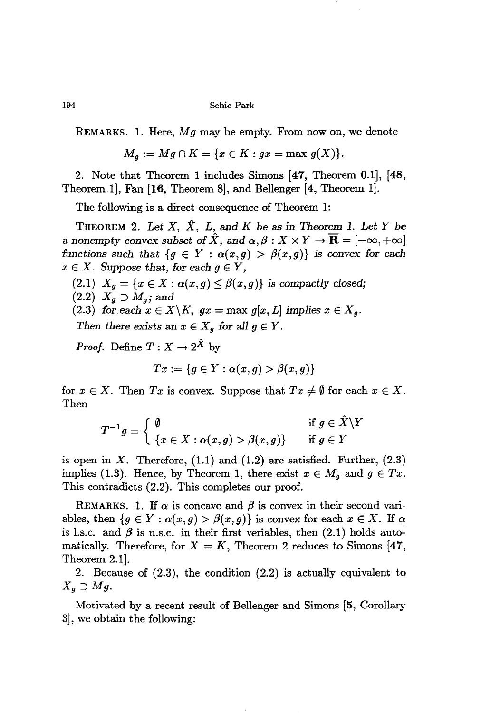REMARKS. 1. Here, *Mg* may be empty. From now on, we denote

$$
M_g := Mg \cap K = \{x \in K : gx = \max g(X)\}.
$$

2. Note that Theorem 1 includes Simons [47, Theorem 0.1], [48, Theorem 1], Fan [16, Theorem 8], and Bellenger [4, Theorem 1].

The following is a direct consequence of Theorem 1:

THEOREM 2. Let  $X$ ,  $\hat{X}$ ,  $L$ , and  $K$  be as in Theorem 1. Let  $Y$  be a nonempty convex subset of  $\hat{X}$ , and  $\alpha, \beta : X \times Y \to \overline{\mathbf{R}} = [-\infty, +\infty]$ functions such that  ${g \in Y : \alpha(x,g) > \beta(x,g)}$  is convex for each  $x \in X$ . *Suppose* that, for each  $q \in Y$ ,

 $(2.1)$   $X_g = \{x \in X : \alpha(x,g) \leq \beta(x,g)\}$  *is compactly closed;* 

 $(2.2)$   $X_q \supset M_q$ ; and

(2.3) *for.each*  $x \in X \backslash K$ ,  $gx = \max g[x, L]$  *implies*  $x \in X_g$ .

*Then there exists* an  $x \in X_g$  for all  $g \in Y$ .

*Proof.* Define  $T: X \to 2^{\hat{X}}$  by

$$
Tx:=\{g\in Y: \alpha(x,g)>\beta(x,g)\}
$$

for  $x \in X$ . Then *Tx* is convex. Suppose that  $Tx \neq \emptyset$  for each  $x \in X$ . Then

$$
T^{-1}g = \begin{cases} \emptyset & \text{if } g \in \hat{X} \setminus Y \\ \{x \in X : \alpha(x,g) > \beta(x,g)\} & \text{if } g \in Y \end{cases}
$$

is open in  $X$ . Therefore,  $(1.1)$  and  $(1.2)$  are satisfied. Further,  $(2.3)$ implies (1.3). Hence, by Theorem 1, there exist  $x \in M_g$  and  $g \in Tx$ . This contradicts (2.2). This completes our proof.

REMARKS. 1. If  $\alpha$  is concave and  $\beta$  is convex in their second variables, then  ${g \in Y : \alpha(x,g) > \beta(x,g)}$  is convex for each  $x \in X$ . If  $\alpha$ is l.s.c. and  $\beta$  is u.s.c. in their first veriables, then (2.1) holds automatically. Therefore, for  $X = K$ , Theorem 2 reduces to Simons [47, Theorem 2.1].

2. Because of (2.3), the condition (2.2) is actually equivalent to  $X_g \supset Mg$ .

Motivated by a recent result of Bellenger and Simons [5, Corollary 3], we obtain the following: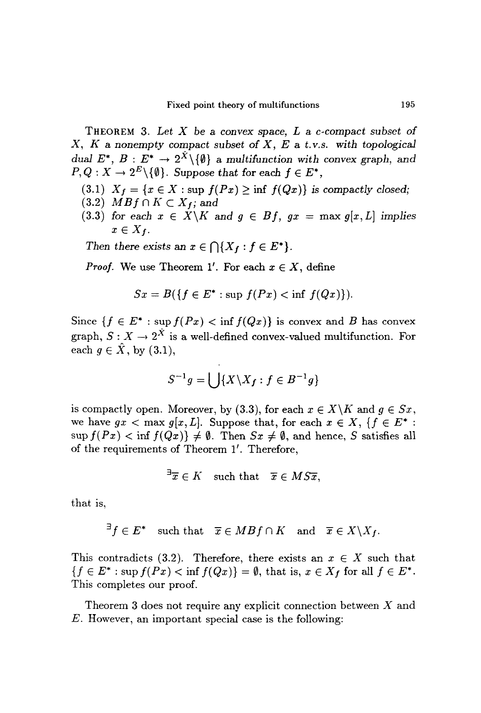THEOREM 3. *Let X* be a *convex space, Lac-compact subset of X, K* a *nonempty compact subset of X,* E a *t.v.S. with topological dual*  $E^*$ ,  $B: E^* \to 2^{\hat{X}} \setminus \{\emptyset\}$  a *multifunction* with *convex graph*, and  $P, Q: X \to 2^E \setminus \{\emptyset\}$ . Suppose that for each  $f \in E^*$ ,

- (3.1)  $X_f = \{x \in X : \text{sup } f(Px) \geq \inf f(Qx) \}$  is compactly closed;
- $(3.2)$  *MBf*  $\cap$  *K*  $\subset$  *X<sub>f</sub>*; and
- (3.3) *for each*  $x \in X \backslash K$  *and*  $g \in Bf$ ,  $gx = \max g[x, L]$  *implies*  $x \in X_f$ .

*Then there exists* an  $x \in \bigcap \{X_f : f \in E^*\}.$ 

*Proof.* We use Theorem 1'. For each  $x \in X$ , define

$$
Sx = B(\lbrace f \in E^* : \text{sup } f(Px) < \text{inf } f(Qx) \rbrace).
$$

Since  ${f \in E^* : \sup f(Px) < \inf f(Qx)}$  is convex and *B* has convex graph,  $S: X \to 2^{\hat{X}}$  is a well-defined convex-valued multifunction. For each  $q \in \hat{X}$ , by (3.1),

$$
S^{-1}g = \bigcup \{ X \backslash X_f : f \in B^{-1}g \}
$$

is compactly open. Moreover, by (3.3), for each  $x \in X \backslash K$  and  $g \in Sx$ , we have  $gx < \max g[x, L]$ . Suppose that, for each  $x \in X$ ,  $\{f \in E^*$ :  $\sup f(Px) < \inf f(Qx) \neq \emptyset$ . Then  $Sx \neq \emptyset$ , and hence, S satisfies all of the requirements of Theorem I'. Therefore,

$$
\exists \overline{x} \in K \quad \text{such that} \quad \overline{x} \in M S \overline{x},
$$

that is,

$$
\exists f \in E^* \quad \text{such that} \quad \overline{x} \in MBf \cap K \quad \text{and} \quad \overline{x} \in X \backslash X_f.
$$

This contradicts (3.2). Therefore, there exists an  $x \in X$  such that  ${f \in E^* : \sup f(Px) < \inf f(Qx)} = \emptyset$ , that is,  $x \in X_f$  for all  $f \in E^*$ . This completes our proof.

Theorem 3 does not require any explicit connection between *X* and *E.* However, an important special case is the following: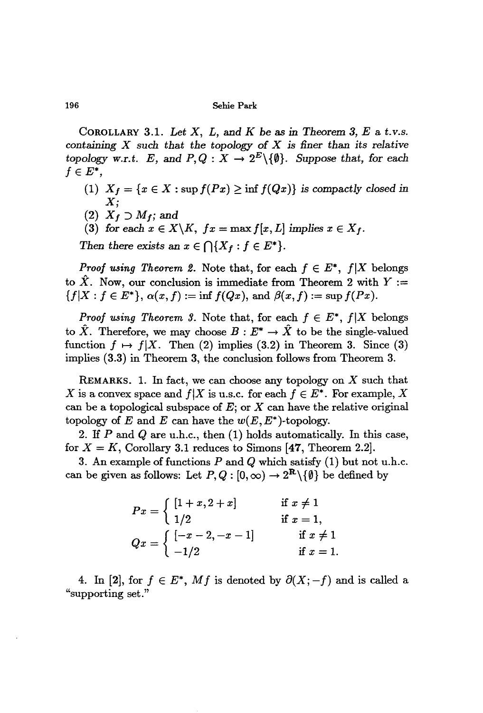COROLLARY 3.1. *Let* X, *L,* and *K* be as *in Theorem* 3, *E* a *t.v.s. containing* X *such that the topology* of X *is finer than its relative topology w.r.t. E,* and  $P, Q: X \to 2^E \setminus \{\emptyset\}$ . Suppose that, for each  $f \in E^*$ ,

- (1)  $X_f = \{x \in X : \sup f(Px) \ge \inf f(Qx)\}$  *is compactly closed in*  $\boldsymbol{X};$
- $(2)$   $X_f \supset M_f$ ; and
- (3) for each  $x \in X \backslash K$ ,  $fx = \max f[x, L]$  implies  $x \in X_f$ .

*Then there exists* an  $x \in \bigcap \{X_f : f \in E^*\}.$ 

*Proof using Theorem* 2. Note that, for each  $f \in E^*$ ,  $f|X$  belongs to  $\hat{X}$ . Now, our conclusion is immediate from Theorem 2 with  $Y :=$  ${f[X : f \in E^*], \alpha(x, f) := \inf f(Qx), \text{ and } \beta(x, f) := \sup f(Px).}$ 

*Proof using Theorem 3.* Note that, for each  $f \in E^*$ ,  $f|X$  belongs to  $\hat{X}$ . Therefore, we may choose  $B: E^* \to \hat{X}$  to be the single-valued function  $f \mapsto f|X$ . Then (2) implies (3.2) in Theorem 3. Since (3) implies (3.3) in Theorem 3, the conclusion follows from Theorem 3.

REMARKS. 1. In fact, we can choose any topology on  $X$  such that X is a convex space and  $f|X$  is u.s.c. for each  $f \in E^*$ . For example, X can be a topological subspace of  $E$ ; or  $X$  can have the relative original topology of *E* and *E* can have the  $w(E, E^*)$ -topology.

2. If *P* and Q are u.h.c., then (1) holds automatically. In this case, for  $X = K$ , Corollary 3.1 reduces to Simons [47, Theorem 2.2].

3. An example of functions *P* and Q which satisfy (1) but not u.h.c. can be given as follows: Let  $P, Q : [0, \infty) \to 2^{\mathbf{R}} \setminus \{\emptyset\}$  be defined by

|                                                                     | if $x \neq 1$ |
|---------------------------------------------------------------------|---------------|
| $Px = \left\{ \begin{array}{l} [1+x,2+x] \ 1/2 \end{array} \right.$ | if $x=1$ ,    |
|                                                                     | if $x \neq 1$ |
| $Qx = \begin{cases} [-x-2,-x-1] \\ -1/2 \end{cases}$                | if $x=1$ .    |

4. In [2], for  $f \in E^*$ , Mf is denoted by  $\partial(X; -f)$  and is called a "supporting set."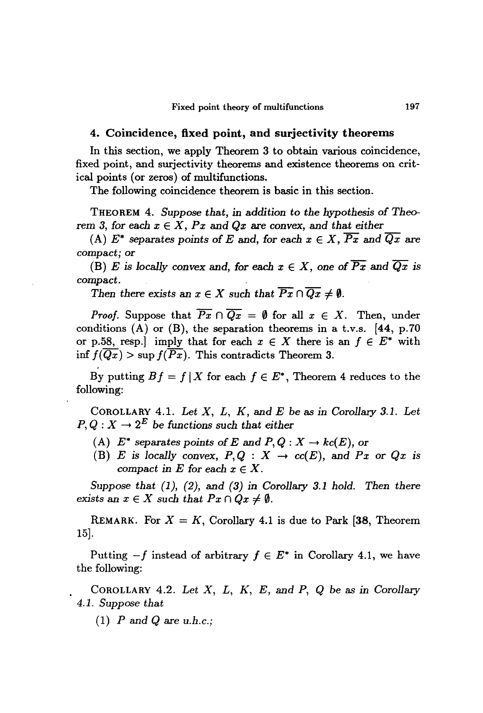### 4. Coincidence, fixed point, and surjectivity theorems

In this section, we apply Theorem 3 to obtain various coincidence, fixed point, and surjectivity theorems and existence theorems on critical points (or zeros) of multifunctions.

The following coincidence theorem is basic in this section.

THEOREM 4. *Suppose that, in addition* to *the hypothesis* of *Theo*rem 3, for each  $x \in X$ ,  $Px$  and  $Qx$  are convex, and that either

(A)  $E^*$  separates points of *E* and, for each  $x \in X$ ,  $\overline{Px}$  and  $\overline{Qx}$  are compact; or

(B) *E* is locally convex and, for each  $x \in X$ , one of  $\overline{Px}$  and  $\overline{Qx}$  is *compact.*

*Then there exists* an  $x \in X$  *such that*  $\overline{Px} \cap \overline{Qx} \neq \emptyset$ *.* 

*Proof.* Suppose that  $\overline{Px} \cap \overline{Qx} = \emptyset$  for all  $x \in X$ . Then, under conditions  $(A)$  or  $(B)$ , the separation theorems in a t.v.s. [44, p.70] or p.58, resp.] imply that for each  $x \in X$  there is an  $f \in E^*$  with inf  $f(\overline{Qx}) > \sup f(\overline{Px})$ . This contradicts Theorem 3.

By putting  $Bf = f | X$  for each  $f \in E^*$ , Theorem 4 reduces to the following:

COROLLARY 4.1. *Let X,* L, *K,* and *E* be as *in Corollary* 3.1. *Let*  $P, Q: X \to 2^E$  be functions such that either

- (A)  $E^*$  separates points of *E* and  $P, Q: X \to kc(E)$ , or
- (B) *E* is locally convex,  $P, Q : X \rightarrow cc(E)$ , and  $Px$  or  $Qx$  is *compact* in *E* for each  $x \in X$ .

Suppose *that* (1), (2), and (3) *in Corollary* 3.1 *hold. Then* there *exists* an  $x \in X$  such that  $Px \cap Qx \neq \emptyset$ .

REMARK. For  $X = K$ , Corollary 4.1 is due to Park [38, Theorem 15].

Putting  $-f$  instead of arbitrary  $f \in E^*$  in Corollary 4.1, we have the following:

COROLLARY 4.2. *Let X, L, K, E,* and *P,* Q be as *in Corollary* 4.1. Suppose *that*

(1)  $P$  and  $Q$  are u.h.c.;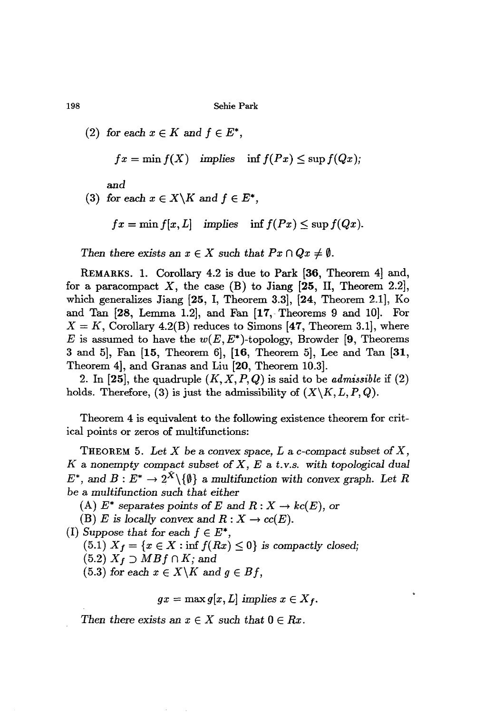$(2)$  *for* each  $x \in K$  *and*  $f \in E^*$ ,

$$
fx = \min f(X) \quad \text{implies} \quad \inf f(Px) \le \sup f(Qx);
$$

*and*

(3) for each  $x \in X \backslash K$  and  $f \in E^*$ ,

 $fx = \min f[x, L]$  *implies*  $\inf f(Px) \leq \sup f(Qx)$ .

*Then there exists* an  $x \in X$  *such that*  $Px \cap Qx \neq \emptyset$ .

REMARKS. 1. Corollary 4.2 is due to Park [36, Theorem 4] and, for a paracompact X, the case  $(B)$  to Jiang [25, II, Theorem 2.2], which generalizes Jiang  $[25, I, Theorem 3.3]$ ,  $[24, Theorem 2.1]$ , Ko and Tan [28, Lemma 1.2], and Fan [17, Theorems 9 and 10]. For  $X = K$ , Corollary 4.2(B) reduces to Simons [47, Theorem 3.1], where *E* is assumed to have the  $w(E, E^*)$ -topology, Browder [9, Theorems 3 and 5], Fan [15, Theorem 6], [16, Theorem 5], Lee and Tan [31, Theorem 4], and Granas and Liu [20, Theorem 10.3].

2. In  $[25]$ , the quadruple  $(K, X, P, Q)$  is said to be *admissible* if  $(2)$ holds. Therefore, (3) is just the admissibility of  $(X \setminus K, L, P, Q)$ .

Theorem 4 is equivalent to the following existence theorem for critical points or zeros of multifunctions:

THEOREM 5. Let X be a convex space, L a c-compact subset of X, *K* <sup>a</sup> nonempty compact *subset* of X, *Eat.*v.s. *with topological dual*  $E^*$ , and  $B: E^* \to 2^{\hat{X}} \setminus \{\emptyset\}$  a multifunction with convex graph. Let R be a *multifunction such that either*

(A)  $E^*$  separates points of *E* and  $R: X \to kc(E)$ , or

(B) *E* is locally convex and  $R: X \to cc(E)$ .

*(I) Suppose that for each*  $f \in E^*$ ,

 $(5.1)$   $X_f = \{x \in X : \inf f(Rx) \leq 0\}$  *is compactly closed;* 

 $(5.2)$   $X_f \supset MBf \cap K$ ; and

 $(5.3)$  *for* each  $x \in X \backslash K$  *and*  $g \in Bf$ ,

$$
gx = \max g[x, L] \implies x \in X_f.
$$

*Then there exists* an  $x \in X$  *such that*  $0 \in Rx$ .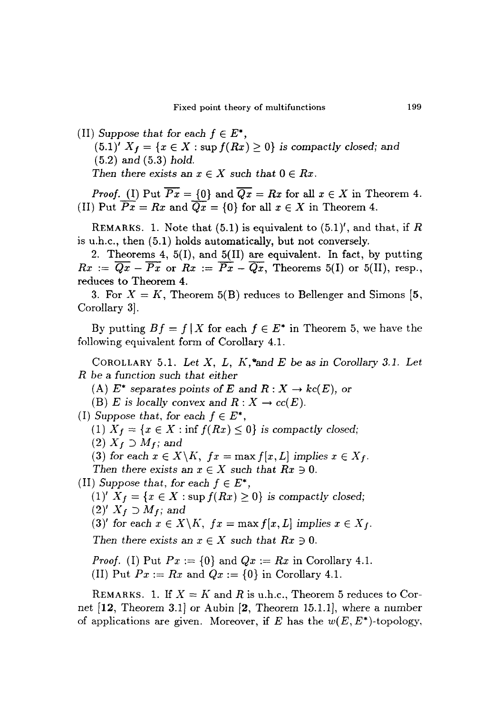(II) *Suppose* that for each  $f \in E^*$ ,  $(5.1)'$   $X_f = \{x \in X : \text{sup } f(Rx) \geq 0\}$  *is compactly closed;* and (5.2) and (5.3) *hold. Then there exists* an  $x \in X$  *such that*  $0 \in Rx$ .

*Proof.* (I) Put  $\overline{Px} = \{0\}$  and  $\overline{Qx} = Rx$  for all  $x \in X$  in Theorem 4. (II) Put  $\overline{Px} = Rx$  and  $\overline{Qx} = \{0\}$  for all  $x \in X$  in Theorem 4.

REMARKS. 1. Note that  $(5.1)$  is equivalent to  $(5.1)'$ , and that, if R is u.h.c., then (5.1) holds automatically, but *not* conversely.

2. Theorems 4, 5(1), and 5(11) are equivalent. In fact, by putting  $Rx := \overline{Qx} - \overline{Px}$  or  $Rx := \overline{Px} - \overline{Qx}$ , Theorems 5(I) or 5(II), resp., reduces to Theorem 4.

3. For  $X = K$ , Theorem 5(B) reduces to Bellenger and Simons [5, Corollary 3J.

By putting  $Bf = f | X$  for each  $f \in E^*$  in Theorem 5, we have the following equivalent form of Corollary 4.1.

COROLLARY 5.1. *Let X, L, K,-and E* be as *in Corollary* 3.1. *Let R* be a *function such that either*

(A)  $E^*$  separates points of E and  $R: X \to kc(E)$ , or

(B) *E* is locally convex and  $R: X \to cc(E)$ .

(I) Suppose that, for each  $f \in E^*$ ,

 $(1)$   $X_f = \{x \in X : \inf f(Rx) \leq 0\}$  *is compactly closed;* 

 $(2)$   $X_f \supset M_f$ ; and

(3) for each  $x \in X \backslash K$ ,  $fx = \max f[x, L]$  implies  $x \in X_f$ .

*Then there exists* an  $x \in X$  *such that*  $Rx \ni 0$ .

(II) *Suppose that, for each*  $f \in E^*$ ,

(1)'  $X_f = \{x \in X : \sup f(Rx) \ge 0\}$  *is compactly closed;*  $(2)'$  *X<sub>f</sub>*  $\supset$  *M<sub>f</sub>*; and

(3)' for each  $x \in X \backslash K$ ,  $fx = \max f[x, L]$  implies  $x \in X_f$ .

*Then there exists* an  $x \in X$  *such that*  $Rx \ni 0$ .

*Proof.* (I) Put  $Px := \{0\}$  and  $Qx := Rx$  in Corollary 4.1.

(II) Put  $Px := Rx$  and  $Qx := \{0\}$  in Corollary 4.1.

REMARKS. 1. If  $X = K$  and R is u.h.c., Theorem 5 reduces to Cornet [12, Theorem 3.1] or Aubin [2, Theorem 15.1.1], where a number of applications are given. Moreover, if  $E$  has the  $w(E, E^*)$ -topology,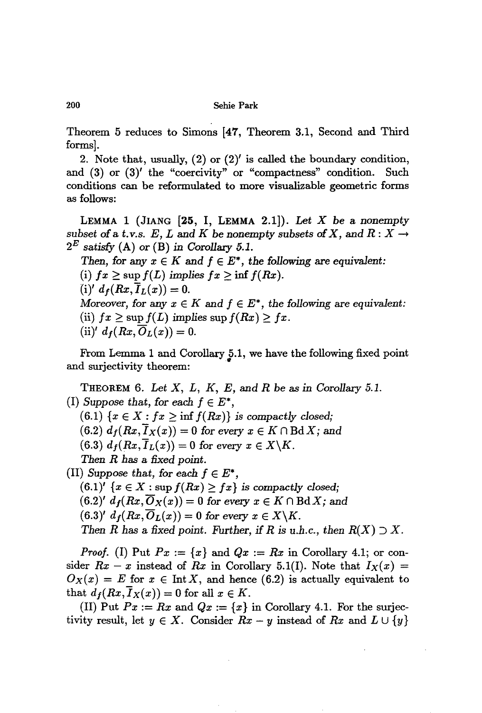Theorem 5 reduces to Simons [47, Theorem 3.1, Second and Third forms].

2. Note that, usually,  $(2)$  or  $(2)'$  is called the boundary condition, and (3) or (3)' the "coercivity" or "compactness" condition. Such conditions can be reformulated to more visualizable geometric forms as follows:

LEMMA 1 (JIANG [25, I, LEMMA 2.1]). *Let X* be a *nonempty* subset of a t.v.s.  $E$ ,  $L$  and  $K$  be nonempty subsets of  $X$ , and  $R: X \rightarrow$ *2*<sup>E</sup> *satisfy* (A) or (B) *in Corollary 5.1.*

*Then,* for any  $x \in K$  and  $f \in E^*$ , the following are equivalent:  $(i)$   $fx \geq \sup f(L)$  *implies*  $fx \geq \inf f(Rx)$ .  $(i)' d_f(Rx, I_L(x)) = 0.$ Moreover, for any  $x \in K$  and  $f \in E^*$ , the following are equivalent: (ii)  $fx \ge \sup f(L)$  *implies*  $\sup f(Rx) \ge fx$ .  $(ii)'$   $d_f(Rx, \overline{O}_L(x)) = 0.$ 

From Lemma 1 and Corollary 5.1, we have the following fixed point and surjectivity theorem:

THEOREM 6. *Let X, L, K, E,* and *R* be as *in Corollary 5.1. (I) Suppose that,* for *each*  $f \in E^*$ ,  $(6.1)$   $\{x \in X : fx \geq \inf f(Rx)\}\$ is *compactly closed;*  $(6.2)$   $d_f(Rx, \overline{I}_X(x)) = 0$  for every  $x \in K \cap \text{Bd} X$ ; and  $(6.3)$   $d_f(Rx, I_L(x)) = 0$  for every  $x \in X \backslash K$ . *Then R has* a *fixed point. (II) Suppose that, for each*  $f \in E^*$ ,  $(6.1)'$   $\{x \in X : \sup f(Rx) \geq fx\}$  *is compactly closed;*  $(6.2)'$   $d_f(Rx, \overline{O}_X(x)) = 0$  for every  $x \in K \cap B\mathrm{d}X$ ; and

 $(6.3)' d_f(Rx, \overline{O}_L(x)) = 0$  for every  $x \in X \backslash K$ .

*Then R* has a fixed point. Further, if *R* is *u.h.c.,* then  $R(X) \supset X$ .

*Proof.* (1) Put  $Px := \{x\}$  and  $Qx := Rx$  in Corollary 4.1; or consider  $Rx - x$  instead of  $Rx$  in Corollary 5.1(I). Note that  $I_X(x) =$  $O_X(x) = E$  for  $x \in \text{Int } X$ , and hence (6.2) is actually equivalent to that  $d_f(Rx, I_X(x)) = 0$  for all  $x \in K$ .

(II) Put  $Px := Rx$  and  $Qx := \{x\}$  in Corollary 4.1. For the surjectivity result, let  $y \in X$ . Consider  $Rx - y$  instead of  $Rx$  and  $L \cup \{y\}$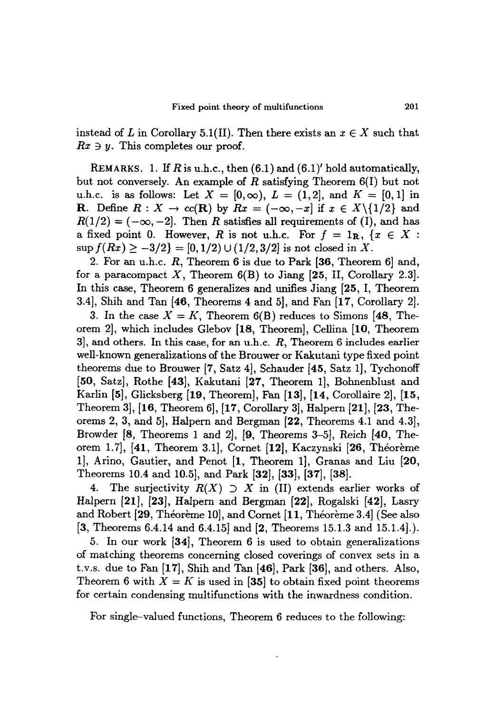instead of L in Corollary 5.1(II). Then there exists an  $x \in X$  such that  $Rx \ni y$ . This completes our proof.

REMARKS. 1. If  $R$  is u.h.c., then  $(6.1)$  and  $(6.1)'$  hold automatically, but not conversely. An example of *R* satisfying Theorem 6(1) but not u.h.c. is as follows: Let  $X = [0, \infty)$ ,  $L = (1, 2]$ , and  $K = [0, 1]$  in **R**. Define  $R: X \to cc(\mathbf{R})$  by  $Rx = (-\infty, -x]$  if  $x \in X\setminus\{1/2\}$  and  $R(1/2) = (-\infty, -2]$ . Then R satisfies all requirements of (I), and has a fixed point 0. However, *R* is not u.h.c. For  $f = 1_R$ ,  $\{x \in X:$  $\sup f(Rx) \ge -3/2$  = [0, 1/2)  $\cup$  (1/2, 3/2] is not closed in *X*.

2. For an u.h.c. R, Theorem 6 is due to Park [36, Theorem 6] and, for a paracompact  $X$ , Theorem  $6(B)$  to Jiang [25, II, Corollary 2.3]. In this case, Theorem 6 generalizes and unifies Jiang [25, I, Theorem 3.4], Shih and Tan [46, Theorems 4 and 5], and Fan [17, Corollary 2].

3. In the case  $X = K$ , Theorem 6(B) reduces to Simons [48, Theorem 2], which includes Glebov [18, Theorem], Cellina [10, Theorem 3], and others. In this case, for an u.h.c. *R,* Theorem 6 includes earlier well-known generalizations of the Brouwer or Kakutani type fixed point theorems due to Brouwer  $(7, Satz 4]$ , Schauder  $[45, Satz 1]$ , Tychonoff [50, Satz], Rothe [43], Kakutani [27, Theorem 1], Bohnenblust and Karlin [5], Glicksberg [19, Theorem], Fan [13], [14, Corollaire 2], [15, Theorem 3], [16, Theorem 6], [17, Corollary 3], Halpern [21], [23, Theorems 2,3, and 5], Halpern and Bergman [22, Theorems 4.1 and 4.3], Browder [8, Theorems 1 and 2], [9, Theorems 3-5], Reich [40, Theorem 1.7], [41, Theorem 3.1], Cornet [12], Kaczynski [26, Theoreme 1], Arino, Gautier, and Penot [1, Theorem 1], Granas and Liu [20, Theorems 10.4 and 10.5], and Park [32], [33], [37], [38].

4. The surjectivity  $R(X) \supset X$  in (II) extends earlier works of Halpern [21], [23], Halpern and Bergman [22], Rogalski [42], Lasry and Robert [29, Théorème 10], and Cornet [11, Théorème 3.4] (See also [3, Theorems 6.4.14 and 6.4.15] and [2, Theorems 15.1.3 and 15.1.4].).

5. In our work [34], Theorem 6 is used to obtain generalizations of matching theorems concerning closed coverings of convex sets in a t.v.s. due to Fan [17], Shih and Tan [46], Park [36], and others. Also, Theorem 6 with  $X = K$  is used in [35] to obtain fixed point theorems for certain condensing multifunctions with the inwardness condition.

For single-valued functions, Theorem 6 reduces to the following: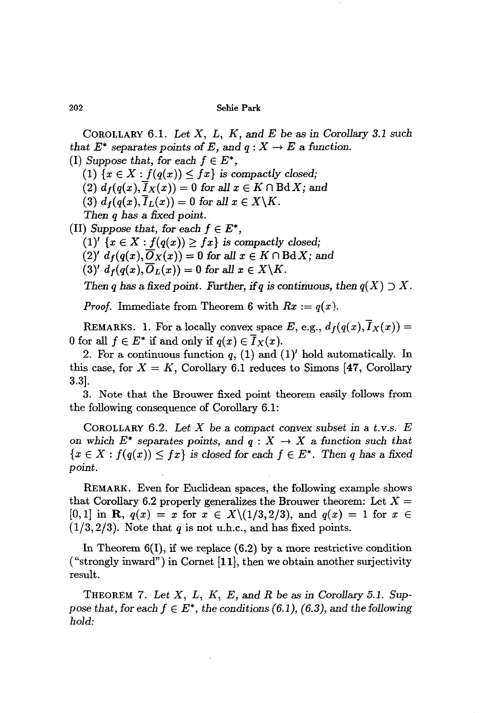COROLLARY 6.1. *Let* X, *L, K,* and *E* be as in *Corollary* 3.1 *such that*  $E^*$  *separates points* of *E*, and  $q: X \rightarrow E$  a function.

(I) *Suppose that,* for each  $f \in E^*$ ,

 $(1)$   $\{x \in X : f(q(x)) \leq fx\}$  *is compactly closed;* 

(2)  $d_f(q(x), \overline{I}_X(x)) = 0$  for all  $x \in K \cap \text{Bd } X$ ; and

(3)  $d_f(q(x), \overline{I}_L(x)) = 0$  for all  $x \in X \backslash K$ .

*Then q* has a *fixed point.*

*(II) Suppose that, for each*  $f \in E^*$ *,*  $(1)'$   $\{x \in X : f(q(x)) \geq fx\}$  *is compactly closed;*  $(2)'$   $d_f(q(x), \overline{O}_X(x)) = 0$  for all  $x \in K \cap \text{Bd } X$ ; and  $(3)'$   $d_f(q(x), \overline{O}_L(x)) = 0$  for all  $x \in X \backslash K$ .

*Then q* has a fixed point. Further, if *q* is continuous, then  $q(X) \supset X$ .

*Proof.* Immediate from Theorem 6 with  $Rx := q(x)$ .

REMARKS. 1. For a locally convex space E, e.g.,  $d_f(q(x), \overline{I}_X(x)) =$ 0 for all  $f \in E^*$  if and only if  $q(x) \in \overline{I}_X(x)$ .

2. For a continuous function  $q$ , (1) and (1)<sup>'</sup> hold automatically. In this case, for  $X = K$ , Corollary 6.1 reduces to Simons [47, Corollary 3.3].

3. Note that the Brouwer fixed point theorem easily follows from the following consequence of Corollary 6.1:

COROLLARY 6.2. *Let* X be a *compact convex subset* in a *t.v.s. E* on which  $E^*$  separates points, and  $q: X \to X$  a function such that  ${x \in X : f(q(x)) \leq fx}$  is *closed* for *each*  $f \in E^*$ . Then *q* has a fixed point.

REMARK. Even for Euclidean spaces, the following example shows that Corollary 6.2 properly generalizes the Brouwer theorem: Let  $X =$  $[0,1]$  in **R**,  $q(x) = x$  for  $x \in X \setminus (1/3,2/3)$ , and  $q(x) = 1$  for  $x \in$  $(1/3,2/3)$ . Note that *q* is not u.h.c., and has fixed points.

In Theorem  $6(1)$ , if we replace  $(6.2)$  by a more restrictive condition ("strongly inward") in Cornet  $[11]$ , then we obtain another surjectivity result.

THEOREM 7. *Let* X, *L, K, E,* and *R* be as in *Corollary* 5.1. *Suppose that, for each*  $f \in E^*$ *, the conditions* (6.1), (6.3), and the *following hold:*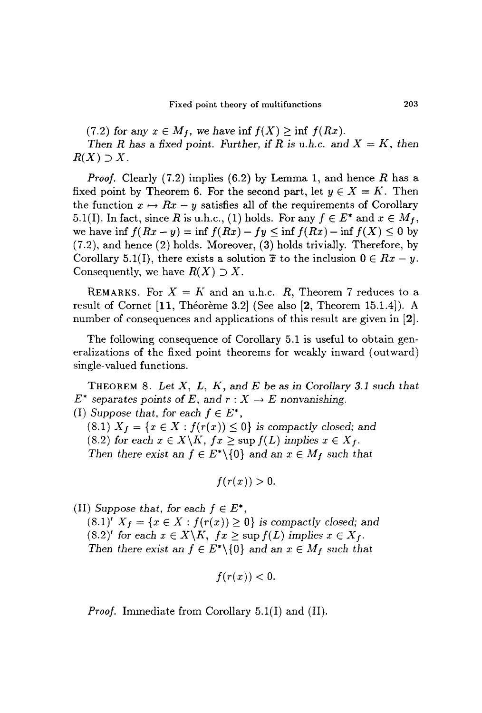(7.2) for any  $x \in M_f$ , we have  $\inf f(X) \geq \inf f(Rx)$ .

*Then R* has a fixed point. Further, if *R* is *u.h.c.* and  $X = K$ , then  $R(X) \supset X$ .

*Proof.* Clearly (7.2) implies (6.2) by Lemma 1, and hence *R* has a fixed point by Theorem 6. For the second part, let  $y \in X = K$ . Then the function  $x \mapsto Rx - y$  satisfies all of the requirements of Corollary 5.1(I). In fact, since R is u.h.c., (1) holds. For any  $f \in E^*$  and  $x \in M_f$ , we have inf  $f(Rx - y) = \inf f(Rx) - fy \leq \inf f(Rx) - \inf f(X) \leq 0$  by (7.2), and hence (2) holds. Moreover, (3) holds trivially. Therefore, by Corollary 5.1(I), there exists a solution  $\bar{x}$  to the inclusion  $0 \in Rx - y$ . Consequently, we have  $R(X) \supset X$ .

REMARKS. For  $X = K$  and an u.h.c. R, Theorem 7 reduces to a result of Cornet [11, Théorème 3.2] (See also [2, Theorem 15.1.4]). A number of consequences and applications of this result are given in [2].

The following consequence of Corollary 5.1 is useful to obtain generalizations of the fixed point theorems for weakly inward (outward) single-valued functions.

THEOREM 8. *Let X, L, K,* and *E* be as *in Corollary* 3.1 *such that*  $E^*$  separates points of *E*, and  $r: X \to E$  nonvanishing.

*(I) Suppose that, for each*  $f \in E^*$ ,

 $(8.1)$   $X_f = \{x \in X : f(r(x)) \leq 0\}$  *is compactly closed;* and (8.2) *for each*  $x \in X \backslash K$ ,  $fx \geq \sup f(L)$  *implies*  $x \in X_f$ . *Then there exist* an  $f \in E^* \setminus \{0\}$  and an  $x \in M_f$  *such that* 

$$
f(r(x))>0.
$$

(II) *Suppose that, for each*  $f \in E^*$ *,* 

 $(8.1)'$   $X_f = \{x \in X : f(r(x)) \geq 0\}$  *is compactly closed;* and  $(8.2)'$  *for each*  $x \in X \backslash K$ ,  $fx \geq \sup f(L)$  *implies*  $x \in X_f$ . *Then there exist* an  $f \in E^* \setminus \{0\}$  *and an*  $x \in M_f$  *such that* 

$$
f(r(x)) < 0.
$$

*Proof.* Immediate from Corollary 5.1(I) and (II).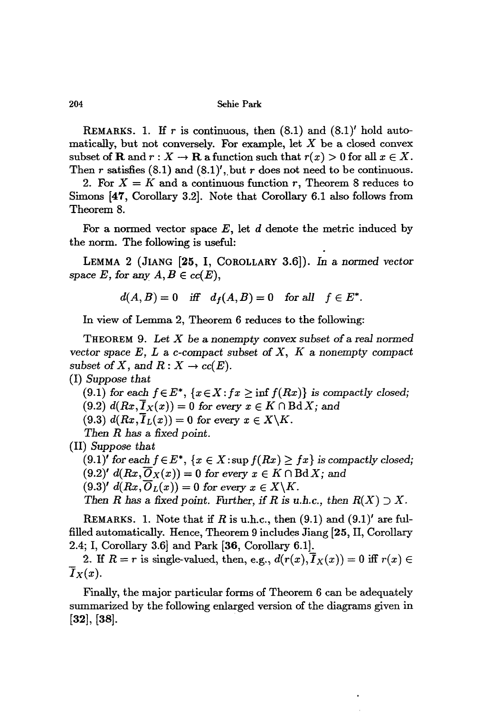REMARKS. 1. If r is continuous, then  $(8.1)$  and  $(8.1)'$  hold automatically, but not conversely. For example, let  $X$  be a closed convex subset of **R** and  $r : X \to \mathbf{R}$  a function such that  $r(x) > 0$  for all  $x \in X$ . Then r satisfies  $(8.1)$  and  $(8.1)'$ , but r does not need to be continuous.

2. For  $X = K$  and a continuous function r, Theorem 8 reduces to Simons [47, Corollary 3.2]. Note that Corollary 6.1 also follows from Theorem S.

For a normed vector space  $E$ , let  $d$  denote the metric induced by the norm. The following is useful:

LEMMA 2 (JIANG [25, I, COROLLARY 3.6]). In a normed *vector* space *E*, for any  $A, B \in cc(E)$ ,

$$
d(A, B) = 0 \quad \text{iff} \quad d_f(A, B) = 0 \quad \text{for all} \quad f \in E^*.
$$

In view of Lemma 2, Theorem 6 reduces to the following:

THEOREM 9. *Let* X be a nonempty *convex subset* of a *real normed vector* space  $E$ ,  $L$  a  $c$ -compact subset of  $X$ ,  $K$  a nonempty compact subset of X, and  $R: X \to cc(E)$ .

*(I) Suppose that*

(9.1) for each  $f \in E^*$ ,  $\{x \in X : fx \geq \inf f(Rx)\}$  is compactly closed;

 $(9.2)$   $d(Rx,\overline{I}_X(x)) = 0$  for every  $x \in K \cap B\mathrm{d}X$ ; and

 $(9.3)$   $d(Rx, \overline{I}_L(x)) = 0$  for every  $x \in X \backslash K$ .

*Then R has* a *fixed* point.

*(11) Suppose that*

 $(9.1)'$  *for* each  $f \in E^*$ ,  $\{x \in X : \sup f(Rx) \geq fx\}$  *is compactly closed;*  $(9.2)'$  *d* $(Rx, \overline{O}_X(x)) = 0$  *for every*  $x \in K \cap B\mathrm{d} X$ ; and  $(9.3)'$   $d(Rx, \overline{O}_L(x)) = 0$  for every  $x \in X \backslash K$ .

*Then R* has a fixed point. Further, if *R* is *u.h.c.,* then  $R(X) \supset X$ .

REMARKS. 1. Note that if *R* is u.h.c., then  $(9.1)$  and  $(9.1)'$  are fulfilled automatically. Hence, Theorem 9 includes Jiang [25, 11, Corollary 2.4; I, Corollary 3.6} and Park [36, Corollary 6.1].

2. If  $R = r$  is single-valued, then, e.g.,  $d(r(x), \overline{I}_X(x)) = 0$  iff  $r(x) \in$  $\overline{I}_X(x)$ .

Finally, the major particular forms of Theorem 6 can be adequately summarized by the following enlarged version of the diagrams given in [32], [38].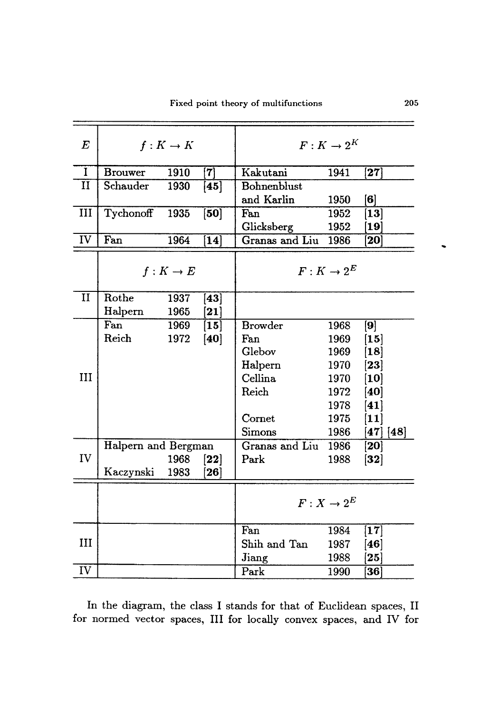| $\boldsymbol{E}$ | $f: K \to K$        |      |                      | $F: K \to 2^K$ |      |                      |                         |
|------------------|---------------------|------|----------------------|----------------|------|----------------------|-------------------------|
| $\bf{I}$         | <b>Brouwer</b>      | 1910 | $\left[ 7\right]$    | Kakutani       | 1941 | $\bm{[27]}$          |                         |
| $\mathbf{I}$     | Schauder            | 1930 | [45]                 | Bohnenblust    |      |                      |                         |
|                  |                     |      |                      | and Karlin     | 1950 | [6]                  |                         |
| III              | Tychonoff           | 1935 | [50]                 | Fan            | 1952 | $\bm{[13]}$          |                         |
|                  |                     |      |                      | Glicksberg     | 1952 | $\bm{[19]}$          |                         |
| IV               | Fan                 | 1964 | [14]                 | Granas and Liu | 1986 | 20                   |                         |
|                  | $f: K \to E$        |      |                      | $F: K \to 2^E$ |      |                      |                         |
| II               | Rothe               | 1937 | $[43]$               |                |      |                      |                         |
|                  | Halpern             | 1965 | $\bm{[21]}$          |                |      |                      |                         |
|                  | Fan                 | 1969 | $\bm{\mathsf{[15]}}$ | <b>Browder</b> | 1968 | $\bm{[9]}$           |                         |
|                  | Reich               | 1972 | [40]                 | Fan            | 1969 | $\bm{[15]}$          |                         |
|                  |                     |      |                      | Glebov         | 1969 | $\bm{\mathsf{[18]}}$ |                         |
|                  |                     |      |                      | Halpern        | 1970 | $\bm{[23]}$          |                         |
| III              |                     |      |                      | Cellina        | 1970 | $\bm{[10]}$          |                         |
|                  |                     |      |                      | Reich          | 1972 | $\bm{[40]}$          |                         |
|                  |                     |      |                      |                | 1978 | [41]                 |                         |
|                  |                     |      |                      | Cornet         | 1975 | $\bm{[11]}$          |                         |
|                  |                     |      |                      | Simons         | 1986 |                      | $\bm{[47]}$ $\bm{[48]}$ |
|                  | Halpern and Bergman |      |                      | Granas and Liu | 1986 | 20                   |                         |
| IV               |                     | 1968 | $\bm{[22]}$          | Park           | 1988 | $[32]$               |                         |
|                  | Kaczynski           | 1983 | $\left[ 26\right]$   |                |      |                      |                         |
|                  |                     |      |                      | $F: X \to 2^E$ |      |                      |                         |
|                  |                     |      |                      | Fan            | 1984 | $\bm{[17]}$          |                         |
| Ш                |                     |      |                      | Shih and Tan   | 1987 | $\bm{[46]}$          |                         |
|                  |                     |      |                      | Jiang          | 1988 | $\bm{25}$            |                         |
| IV               |                     |      |                      | Park           | 1990 | $\bm{36}$            |                         |

In the diagram, the class I stands for that of Euclidean spaces, Il for normed vector spaces, III for locally convex spaces, and IV for  $\ddot{\phantom{0}}$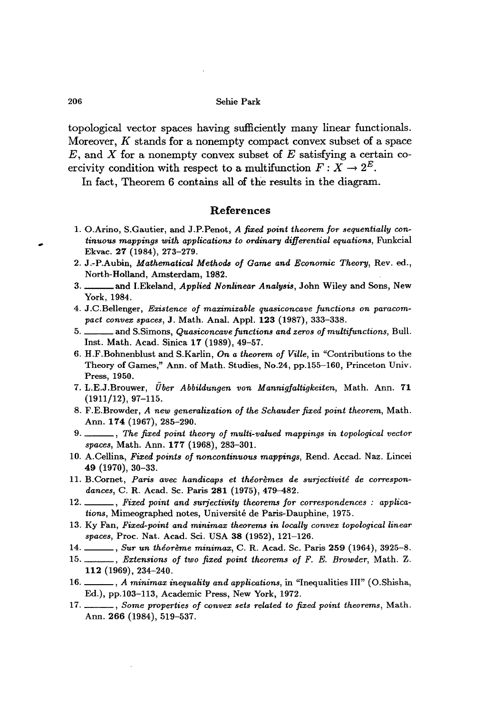topological vector spaces having sufficiently many linear functionals. Moreover,  $K$  stands for a nonempty compact convex subset of a space  $E$ , and  $X$  for a nonempty convex subset of  $E$  satisfying a certain coercivity condition with respect to a multifunction  $F: X \to 2^E$ .

In fact, Theorem 6 contains all of the results in the diagram.

### References

- 1. O.Arino, S.Gautier, and J.P.Penot, *A fixed point theorem for sequentially continuous mappings with applications to ordinary differential equations,* Funkcial Ekvac. 27 (1984), 273-279.
- 2. J.-P.Aubin, *Mathematical Methods of Game and Economic Theory,* Rev. ed., North-Holland, Amsterdam, 1982.
- 3. and I.Ekeland, *Applied Nonlinear Analysis,* John Wiley and Sons, New York,1984.
- 4. J.C.Bellenger, *Existence of maximizable quasiconcave functions on paracompact convex spaces,* J. Math. Anal. Appl. 123 (1987), 333-338.
- 5. and S.simons, *Quasiconcave junctions and zeros of multijunctions,* Bull. Inst. Math. Acad. Sinica 17 (1989), 49-57.
- 6. H.F.Bohnenblust and S.Karlin, *On a theorem of Ville,* in "Contributions to the Theory of Games," Ann. of Math. Studies, No.24, pp.155-160, Princeton Univ. Press, 1950.
- 7. L.E.J.Brouwer, *Uber A bbildungen von Mannigfaltigkeiten,* Math. Ann. 71  $(1911/12), 97-115.$
- 8. F.E.Browder, *A new generalization of the Schauder fixed point theorem,* Math. Ann. 174 (1967), 285-290.
- 9. , *The fixed point theory of multi-valued mappings in topological vector spaces,* Math. Ann. 177 (1968), 283-301.
- 10. A.Cellina, *Fixed points of noncontinuous mappings,* Rend. Accad. Naz. Lincei 49 (1970), 30-33.
- 11. B.Cornet, Paris avec handicaps et théorèmes de surjectivité de correspon*dances,* C. R. Acad. Se. Paris 281 (1975), 479-482.
- 12. , *Fixed point and surjectivity theorems for correspondences* : *applications,* Mimeographed notes, Universite de Paris-Dauphine, 1975.
- 13. Ky Fan, *Fixed-point and minimax theorems in locally convex topological linear spaces,* Proc. Nat. Acad. Sci. USA 38 (1952), 121-126.
- 14. , *Sur un theoreme minimax,* C. R. Acad. Se. Paris 259 (1964), 3925-8.
- 15. , *Extensions of two fixed point theorems of F. E. Browder,* Math. Z. 112 (1969), 234-240.
- 16. , *A minimax inequality and applications,* in "Inequalities Ill" (O.Shisha, Ed.), pp.l03-113, Academic Press, New York, 1972.
- 17. , *Some properties of convex sets related to fixed point theorems,* Math. Ann. 266 (1984), 519-537.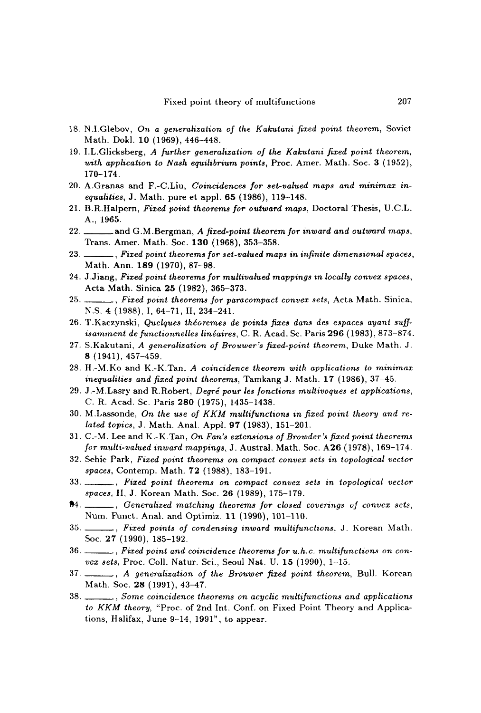- 18. N.I.Glebov, *On a generalization of the Kakutani fixed point theorem,* Soviet Math. Dokl. 10 (1969), 446-448.
- 19. I.L.Glicksberg, *A further generalization of the Kakutani fixed point theorem, with application to Nash equilibrium points,* Proc. Amer. Math. Soc. 3 (1952), 170-174.
- 20. A.Granas and F.-C.Liu, *Coincidences for set-valued maps and minimax inequalities, J. Math. pure et appl. 65 (1986), 119-148.*
- 21. B.R.Halpern, *Fixed point theorems for outward maps,* Doctoral Thesis, U.C.L. A., 1965.
- 22. and G.M.Bergman, *A fixed-point theorem for inward and outward maps,* Trans. Amer. Math. Soc. 130 (1968), 353-358.
- 23. , *Fixed point theorems for set-valued maps in infinite dimensional spaces,* Math. Ann. 189 (1970), 87-98.
- 24. J .Jiang, *Fixed point theorems for multivalued mappings in locally convex spaces,* Acta Math. Sinica 25 (1982), 365-373.
- 25. , *Fixed point theorems for paracompact convex sets,* Acta Math. Sinica, N.S. 4 (1988), I, 64-71, 11, 234-241.
- 26. T .Kaczynski, *Quelques theoremes de points fixes dans des espaces ayant suf[ isamment de functionnelles lineaires,* C. R. Acad. Se. Paris 296 (1983), 873-874.
- 27. S.Kakutani, *A generalization of Brouwer's fixed-point theorem,* Duke Math. J. 8 (1941), 457-459.
- 28. H.-M.Ko and K.-K.Tan, *A coincidence theorem with applications to minimax inequalities and fixed point theorems,* Tamkang J. Math. 17 (1986), 37-45.
- 29. J .-M.Lasry and R.Robert, *Degre pour les fonctions multivoques et applications,* C. R. Acad. Sc. Paris 280 (1975), 1435-1438.
- 30. M.Lassonde, *On the use of KKM multifunctions in fixed point theory and related topics,* J. Math. Anal. Appl. 97 (1983),151-201.
- 31. C.-M. Lee and K.-K.Tan, *On Fan's extensions of Browder's fixed point theorems for multi-valued inward mappings,* J. Austral. Math. Soc. A26 (1978), 169-174.
- 32. Sehie Park, *Fixed point theorems on compact convex sets in topological vector spaces,* Contemp. Math. 72 (1988), 183-191.
- 33. , *Fixed point theorems on compact convex sets in topological vector spaces,* 11, J. Korean Math. Soc. 26 (1989), 175-179.
- 84. , *Generalized matching theorems for closed coverings 0/ convex sets,* Num. Punct. Anal. and Optimiz. 11 (1990), 101-110.
- 35. , *Fixed points of condensing inward multi/unctions,* J. Korean Math. Soc. 27 (1990), 185-192.
- 36. , *Fixed point and coincidence theorems for u.h.c. multi/unctions on convex sets*, Proc. Coll. Natur. Sci., Seoul Nat. U. 15 (1990), 1-15.
- 37. , *A generalization* 0/ *the Brouwer fixed point theorem,* Bull. Korean Math. Soc. 28 (1991), 43-47.
- 38. , *Some coincidence theorems on acyclic multi/unctions and applications to KKM theory,* "Proc. of 2nd Int. Conf. on Fixed Point Theory and Applications, Halifax, June 9-14,1991", to appear.